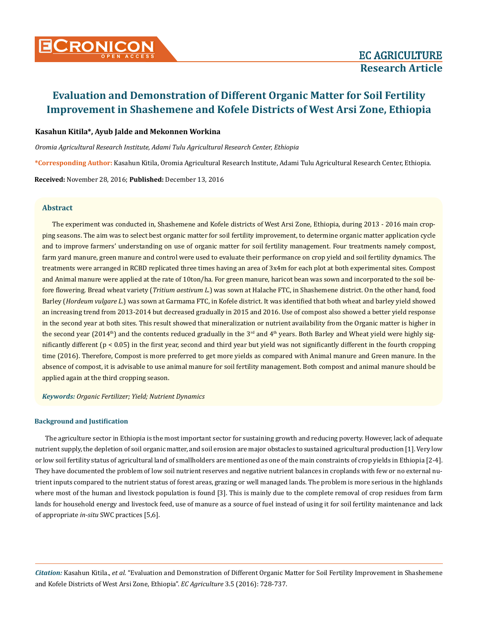

### **Kasahun Kitila\*, Ayub Jalde and Mekonnen Workina**

*Oromia Agricultural Research Institute, Adami Tulu Agricultural Research Center, Ethiopia*

**\*Corresponding Author:** Kasahun Kitila, Oromia Agricultural Research Institute, Adami Tulu Agricultural Research Center, Ethiopia.

**Received:** November 28, 2016; **Published:** December 13, 2016

#### **Abstract**

The experiment was conducted in, Shashemene and Kofele districts of West Arsi Zone, Ethiopia, during 2013 - 2016 main cropping seasons. The aim was to select best organic matter for soil fertility improvement, to determine organic matter application cycle and to improve farmers' understanding on use of organic matter for soil fertility management. Four treatments namely compost, farm yard manure, green manure and control were used to evaluate their performance on crop yield and soil fertility dynamics. The treatments were arranged in RCBD replicated three times having an area of 3x4m for each plot at both experimental sites. Compost and Animal manure were applied at the rate of 10ton/ha. For green manure, haricot bean was sown and incorporated to the soil before flowering. Bread wheat variety (*Tritium aestivum L*.) was sown at Halache FTC, in Shashemene district. On the other hand, food Barley (*Hordeum vulgare L*.) was sown at Garmama FTC, in Kofele district. It was identified that both wheat and barley yield showed an increasing trend from 2013-2014 but decreased gradually in 2015 and 2016. Use of compost also showed a better yield response in the second year at both sites. This result showed that mineralization or nutrient availability from the Organic matter is higher in the second year (2014<sup>th</sup>) and the contents reduced gradually in the 3<sup>rd</sup> and 4<sup>th</sup> years. Both Barley and Wheat yield were highly significantly different (p < 0.05) in the first year, second and third year but yield was not significantly different in the fourth cropping time (2016). Therefore, Compost is more preferred to get more yields as compared with Animal manure and Green manure. In the absence of compost, it is advisable to use animal manure for soil fertility management. Both compost and animal manure should be applied again at the third cropping season.

*Keywords: Organic Fertilizer; Yield; Nutrient Dynamics*

#### **Background and Justification**

The agriculture sector in Ethiopia is the most important sector for sustaining growth and reducing poverty. However, lack of adequate nutrient supply, the depletion of soil organic matter, and soil erosion are major obstacles to sustained agricultural production [1]. Very low or low soil fertility status of agricultural land of smallholders are mentioned as one of the main constraints of crop yields in Ethiopia [2-4]. They have documented the problem of low soil nutrient reserves and negative nutrient balances in croplands with few or no external nutrient inputs compared to the nutrient status of forest areas, grazing or well managed lands. The problem is more serious in the highlands where most of the human and livestock population is found [3]. This is mainly due to the complete removal of crop residues from farm lands for household energy and livestock feed, use of manure as a source of fuel instead of using it for soil fertility maintenance and lack of appropriate *in-situ* SWC practices [5,6].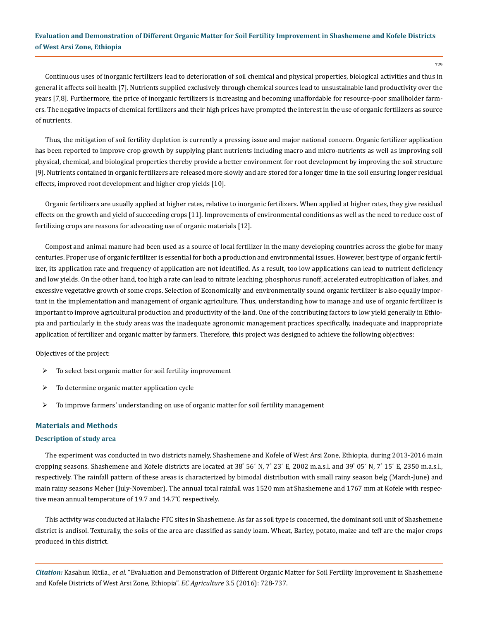729

Continuous uses of inorganic fertilizers lead to deterioration of soil chemical and physical properties, biological activities and thus in general it affects soil health [7]. Nutrients supplied exclusively through chemical sources lead to unsustainable land productivity over the years [7,8]. Furthermore, the price of inorganic fertilizers is increasing and becoming unaffordable for resource-poor smallholder farmers. The negative impacts of chemical fertilizers and their high prices have prompted the interest in the use of organic fertilizers as source of nutrients.

Thus, the mitigation of soil fertility depletion is currently a pressing issue and major national concern. Organic fertilizer application has been reported to improve crop growth by supplying plant nutrients including macro and micro-nutrients as well as improving soil physical, chemical, and biological properties thereby provide a better environment for root development by improving the soil structure [9]. Nutrients contained in organic fertilizers are released more slowly and are stored for a longer time in the soil ensuring longer residual effects, improved root development and higher crop yields [10].

Organic fertilizers are usually applied at higher rates, relative to inorganic fertilizers. When applied at higher rates, they give residual effects on the growth and yield of succeeding crops [11]. Improvements of environmental conditions as well as the need to reduce cost of fertilizing crops are reasons for advocating use of organic materials [12].

Compost and animal manure had been used as a source of local fertilizer in the many developing countries across the globe for many centuries. Proper use of organic fertilizer is essential for both a production and environmental issues. However, best type of organic fertilizer, its application rate and frequency of application are not identified. As a result, too low applications can lead to nutrient deficiency and low yields. On the other hand, too high a rate can lead to nitrate leaching, phosphorus runoff, accelerated eutrophication of lakes, and excessive vegetative growth of some crops. Selection of Economically and environmentally sound organic fertilizer is also equally important in the implementation and management of organic agriculture. Thus, understanding how to manage and use of organic fertilizer is important to improve agricultural production and productivity of the land. One of the contributing factors to low yield generally in Ethiopia and particularly in the study areas was the inadequate agronomic management practices specifically, inadequate and inappropriate application of fertilizer and organic matter by farmers. Therefore, this project was designed to achieve the following objectives:

Objectives of the project:

- $\triangleright$  To select best organic matter for soil fertility improvement
- $\triangleright$  To determine organic matter application cycle
- $\triangleright$  To improve farmers' understanding on use of organic matter for soil fertility management

#### **Materials and Methods**

#### **Description of study area**

The experiment was conducted in two districts namely, Shashemene and Kofele of West Arsi Zone, Ethiopia, during 2013-2016 main cropping seasons. Shashemene and Kofele districts are located at 38° 56′ N, 7° 23′ E, 2002 m.a.s.l. and 39° 05′ N, 7° 15′ E, 2350 m.a.s.l., respectively. The rainfall pattern of these areas is characterized by bimodal distribution with small rainy season belg (March-June) and main rainy seasons Meher (July-November). The annual total rainfall was 1520 mm at Shashemene and 1767 mm at Kofele with respective mean annual temperature of 19.7 and 14.7° C respectively.

This activity was conducted at Halache FTC sites in Shashemene. As far as soil type is concerned, the dominant soil unit of Shashemene district is andisol. Texturally, the soils of the area are classified as sandy loam. Wheat, Barley, potato, maize and teff are the major crops produced in this district.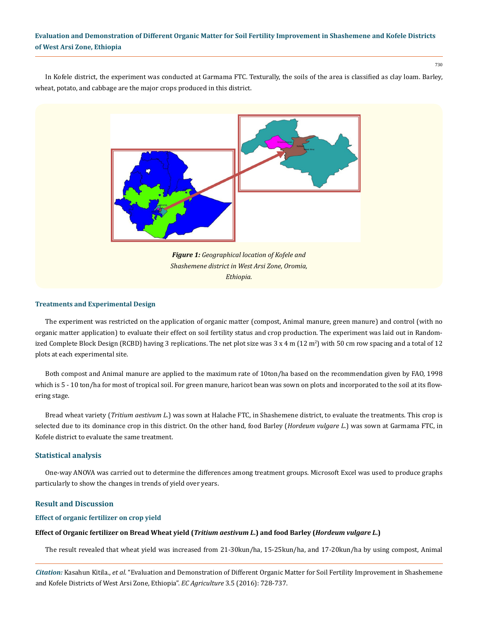730

In Kofele district, the experiment was conducted at Garmama FTC. Texturally, the soils of the area is classified as clay loam. Barley, wheat, potato, and cabbage are the major crops produced in this district.



#### **Treatments and Experimental Design**

The experiment was restricted on the application of organic matter (compost, Animal manure, green manure) and control (with no organic matter application) to evaluate their effect on soil fertility status and crop production. The experiment was laid out in Randomized Complete Block Design (RCBD) having 3 replications. The net plot size was 3 x 4 m (12 m<sup>2</sup>) with 50 cm row spacing and a total of 12 plots at each experimental site.

Both compost and Animal manure are applied to the maximum rate of 10ton/ha based on the recommendation given by FAO, 1998 which is 5 - 10 ton/ha for most of tropical soil. For green manure, haricot bean was sown on plots and incorporated to the soil at its flowering stage.

Bread wheat variety (*Tritium aestivum L*.) was sown at Halache FTC, in Shashemene district, to evaluate the treatments. This crop is selected due to its dominance crop in this district. On the other hand, food Barley (*Hordeum vulgare L*.) was sown at Garmama FTC, in Kofele district to evaluate the same treatment.

### **Statistical analysis**

One-way ANOVA was carried out to determine the differences among treatment groups. Microsoft Excel was used to produce graphs particularly to show the changes in trends of yield over years.

### **Result and Discussion**

#### **Effect of organic fertilizer on crop yield**

### **Effect of Organic fertilizer on Bread Wheat yield (***Tritium aestivum L***.) and food Barley (***Hordeum vulgare L***.)**

The result revealed that wheat yield was increased from 21-30kun/ha, 15-25kun/ha, and 17-20kun/ha by using compost, Animal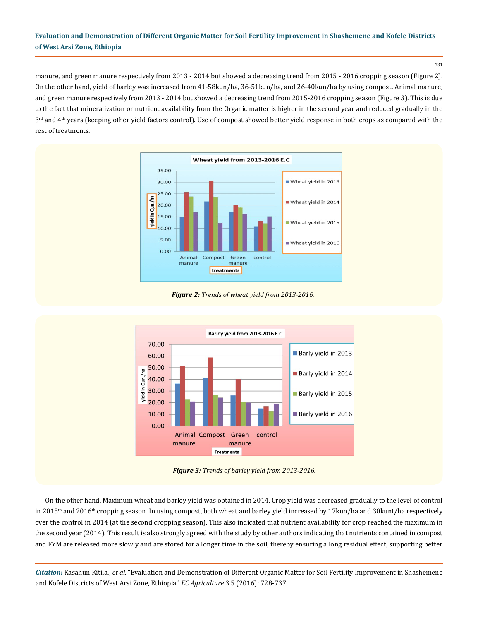731

manure, and green manure respectively from 2013 - 2014 but showed a decreasing trend from 2015 - 2016 cropping season (Figure 2). On the other hand, yield of barley was increased from 41-58kun/ha, 36-51kun/ha, and 26-40kun/ha by using compost, Animal manure, and green manure respectively from 2013 - 2014 but showed a decreasing trend from 2015-2016 cropping season (Figure 3). This is due to the fact that mineralization or nutrient availability from the Organic matter is higher in the second year and reduced gradually in the  $3<sup>rd</sup>$  and  $4<sup>th</sup>$  years (keeping other yield factors control). Use of compost showed better yield response in both crops as compared with the rest of treatments.



*Figure 2: Trends of wheat yield from 2013-2016.*



*Figure 3: Trends of barley yield from 2013-2016.*

On the other hand, Maximum wheat and barley yield was obtained in 2014. Crop yield was decreased gradually to the level of control in 2015<sup>th</sup> and 2016<sup>th</sup> cropping season. In using compost, both wheat and barley yield increased by 17kun/ha and 30kunt/ha respectively over the control in 2014 (at the second cropping season). This also indicated that nutrient availability for crop reached the maximum in the second year (2014). This result is also strongly agreed with the study by other authors indicating that nutrients contained in compost and FYM are released more slowly and are stored for a longer time in the soil, thereby ensuring a long residual effect, supporting better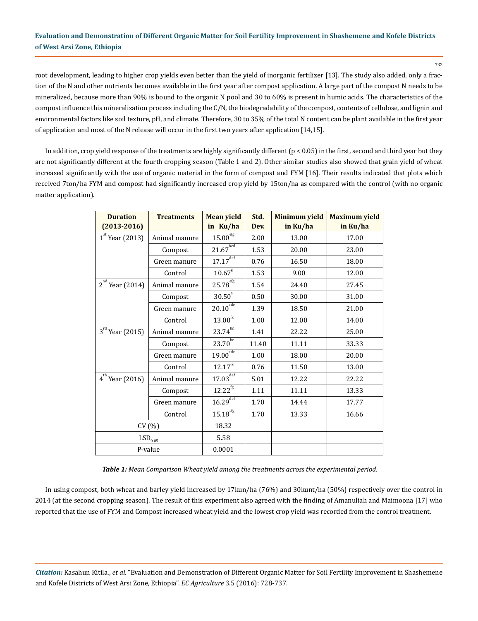root development, leading to higher crop yields even better than the yield of inorganic fertilizer [13]. The study also added, only a fraction of the N and other nutrients becomes available in the first year after compost application. A large part of the compost N needs to be mineralized, because more than 90% is bound to the organic N pool and 30 to 60% is present in humic acids. The characteristics of the compost influence this mineralization process including the C/N, the biodegradability of the compost, contents of cellulose, and lignin and environmental factors like soil texture, pH, and climate. Therefore, 30 to 35% of the total N content can be plant available in the first year of application and most of the N release will occur in the first two years after application [14,15].

In addition, crop yield response of the treatments are highly significantly different ( $p < 0.05$ ) in the first, second and third year but they are not significantly different at the fourth cropping season (Table 1 and 2). Other similar studies also showed that grain yield of wheat increased significantly with the use of organic material in the form of compost and FYM [16]. Their results indicated that plots which received 7ton/ha FYM and compost had significantly increased crop yield by 15ton/ha as compared with the control (with no organic matter application).

| <b>Duration</b>          | <b>Treatments</b> | <b>Mean yield</b>                   | Std.  | <b>Minimum yield</b> | <b>Maximum yield</b> |  |
|--------------------------|-------------------|-------------------------------------|-------|----------------------|----------------------|--|
| $(2013 - 2016)$          |                   | in Ku/ha                            | Dev.  | in Ku/ha             | in Ku/ha             |  |
| $1st$ Year (2013)        | Animal manure     | $15.00^{\text{eff}}$                | 2.00  | 13.00                | 17.00                |  |
|                          | Compost           | $21.67^{b\overline{c}\overline{d}}$ | 1.53  | 20.00                | 23.00                |  |
|                          | Green manure      | $17.17^{\overline{\text{def}}}$     | 0.76  | 16.50                | 18.00                |  |
|                          | Control           | $10.67^{8}$                         | 1.53  | 9.00                 | 12.00                |  |
| $2nd$ Year (2014)        | Animal manure     | $25.78^{\rm efg}$                   | 1.54  | 24.40                | 27.45                |  |
|                          | Compost           | 30.50 <sup>a</sup>                  | 0.50  | 30.00                | 31.00                |  |
|                          | Green manure      | $20.10^{\overline{cde}}$            | 1.39  | 18.50                | 21.00                |  |
|                          | Control           | $13.00^{\rm fg}$                    | 1.00  | 12.00                | 14.00                |  |
| $3^{rd}$ Year (2015)     | Animal manure     | $23.74^{b\bar{c}}$                  | 1.41  | 22.22                | 25.00                |  |
|                          | Compost           | $23.70^{bc}$                        | 11.40 | 11.11                | 33.33                |  |
|                          | Green manure      | $19.00^{\overline{cde}}$            | 1.00  | 18.00                | 20.00                |  |
|                          | Control           | $12.17^{\mathrm{fg}}$               | 0.76  | 11.50                | 13.00                |  |
| $4^{th}$ Year (2016)     | Animal manure     | $17.03^{\overline{\text{def}}}$     | 5.01  | 12.22                | 22.22                |  |
|                          | Compost           | $12.22^{\mathrm{fg}}$               | 1.11  | 11.11                | 13.33                |  |
|                          | Green manure      | $16.29^{\overline{\text{def}}}$     | 1.70  | 14.44                | 17.77                |  |
|                          | Control           | $15.18^{\rm eff}$                   | 1.70  | 13.33                | 16.66                |  |
| CV(%)                    |                   | 18.32                               |       |                      |                      |  |
| $\mathrm{LSD}_{_{0.05}}$ |                   | 5.58                                |       |                      |                      |  |
| P-value                  |                   | 0.0001                              |       |                      |                      |  |

*Table 1: Mean Comparison Wheat yield among the treatments across the experimental period.*

In using compost, both wheat and barley yield increased by 17kun/ha (76%) and 30kunt/ha (50%) respectively over the control in 2014 (at the second cropping season). The result of this experiment also agreed with the finding of Amanuliah and Maimoona [17] who reported that the use of FYM and Compost increased wheat yield and the lowest crop yield was recorded from the control treatment.

*Citation:* Kasahun Kitila., *et al*. "Evaluation and Demonstration of Different Organic Matter for Soil Fertility Improvement in Shashemene and Kofele Districts of West Arsi Zone, Ethiopia". *EC Agriculture* 3.5 (2016): 728-737.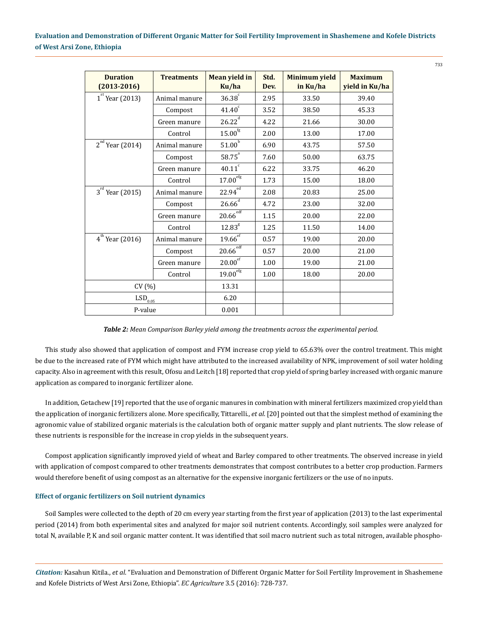| <b>Duration</b><br>$(2013 - 2016)$ | <b>Treatments</b> | Mean yield in<br>Ku/ha        | Std.<br>Dev. | <b>Minimum yield</b><br>in Ku/ha | <b>Maximum</b><br>yield in Ku/ha |  |
|------------------------------------|-------------------|-------------------------------|--------------|----------------------------------|----------------------------------|--|
| $1st$ Year (2013)                  | Animal manure     | $36.38^\circ$                 | 2.95         | 33.50                            | 39.40                            |  |
|                                    | Compost           | $41.40^\circ$                 | 3.52         | 38.50                            | 45.33                            |  |
|                                    | Green manure      | 26.22 <sup>d</sup>            | 4.22         | 21.66                            | 30.00                            |  |
|                                    | Control           | $15.00^{\rm fg}$              | 2.00         | 13.00                            | 17.00                            |  |
| $2^{nd}$<br>Year (2014)            | Animal manure     | 51.00 <sup>b</sup>            | 6.90         | 43.75                            | 57.50                            |  |
|                                    | Compost           | $58.75^{a}$                   | 7.60         | 50.00                            | 63.75                            |  |
|                                    | Green manure      | $40.11^\circ$                 | 6.22         | 33.75                            | 46.20                            |  |
|                                    | Control           | $17.00^{\rm efg}$             | 1.73         | 15.00                            | 18.00                            |  |
| $3^{rd}$ Year (2015)               | Animal manure     | $22.94^{\overline{ed}}$       | 2.08         | 20.83                            | 25.00                            |  |
|                                    | Compost           | $26.66$ <sup>d</sup>          | 4.72         | 23.00                            | 32.00                            |  |
|                                    | Green manure      | $20.66^{\overline{\rm{edf}}}$ | 1.15         | 20.00                            | 22.00                            |  |
|                                    | Control           | 12.83 <sup>g</sup>            | 1.25         | 11.50                            | 14.00                            |  |
| $4^{th}$ Year (2016)               | Animal manure     | $19.66^{eF}$                  | 0.57         | 19.00                            | 20.00                            |  |
|                                    | Compost           | $20.66^{\overline{\rm{edf}}}$ | 0.57         | 20.00                            | 21.00                            |  |
|                                    | Green manure      | $20.00^{\overline{ef}}$       | 1.00         | 19.00                            | 21.00                            |  |
|                                    | Control           | $19.00_{\text{eff}}$          | 1.00         | 18.00                            | 20.00                            |  |
| CV(%)                              |                   | 13.31                         |              |                                  |                                  |  |
| $\mathrm{LSD}_{0.\underline{05}}$  |                   | 6.20                          |              |                                  |                                  |  |
| P-value                            |                   | 0.001                         |              |                                  |                                  |  |

*Table 2: Mean Comparison Barley yield among the treatments across the experimental period.*

This study also showed that application of compost and FYM increase crop yield to 65.63% over the control treatment. This might be due to the increased rate of FYM which might have attributed to the increased availability of NPK, improvement of soil water holding capacity. Also in agreement with this result, Ofosu and Leitch [18] reported that crop yield of spring barley increased with organic manure application as compared to inorganic fertilizer alone.

In addition, Getachew [19] reported that the use of organic manures in combination with mineral fertilizers maximized crop yield than the application of inorganic fertilizers alone. More specifically, Tittarelli., *et al*. [20] pointed out that the simplest method of examining the agronomic value of stabilized organic materials is the calculation both of organic matter supply and plant nutrients. The slow release of these nutrients is responsible for the increase in crop yields in the subsequent years.

Compost application significantly improved yield of wheat and Barley compared to other treatments. The observed increase in yield with application of compost compared to other treatments demonstrates that compost contributes to a better crop production. Farmers would therefore benefit of using compost as an alternative for the expensive inorganic fertilizers or the use of no inputs.

### **Effect of organic fertilizers on Soil nutrient dynamics**

Soil Samples were collected to the depth of 20 cm every year starting from the first year of application (2013) to the last experimental period (2014) from both experimental sites and analyzed for major soil nutrient contents. Accordingly, soil samples were analyzed for total N, available P, K and soil organic matter content. It was identified that soil macro nutrient such as total nitrogen, available phospho-

*Citation:* Kasahun Kitila., *et al*. "Evaluation and Demonstration of Different Organic Matter for Soil Fertility Improvement in Shashemene and Kofele Districts of West Arsi Zone, Ethiopia". *EC Agriculture* 3.5 (2016): 728-737.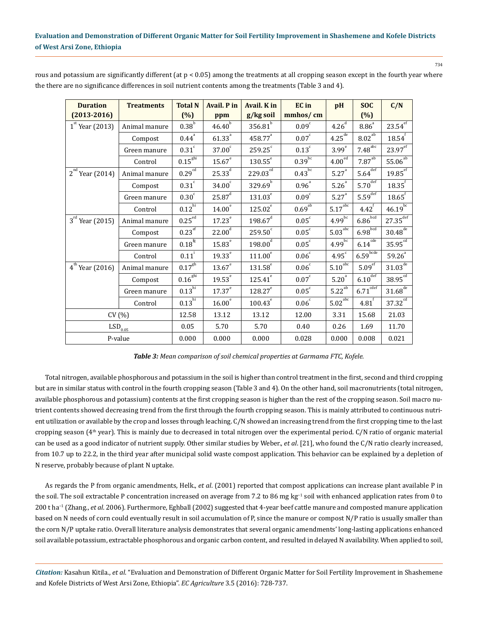| <b>Duration</b>                   | <b>Treatments</b> | <b>Total N</b>                | <b>Avail. P in</b> | Avail. K in           | <b>EC</b> in           | pH                             | <b>SOC</b>                     | C/N                             |
|-----------------------------------|-------------------|-------------------------------|--------------------|-----------------------|------------------------|--------------------------------|--------------------------------|---------------------------------|
| $(2013 - 2016)$                   |                   | (%)                           | ppm                | g/kg soil             | mmhos/cm               |                                | (%)                            |                                 |
| $1st$ Year (2013)                 | Animal manure     | $0.38^b$                      | $46.40^{b}$        | 356.81 <sup>b</sup>   | $0.09^\circ$           | $4.26^{\overline{d}}$          | $8.86^{\circ}$                 | $23.54^{\overline{ef}}$         |
|                                   | Compost           | $0.44$ <sup>a</sup>           | $61.33^{a}$        | 458.77 <sup>a</sup>   | 0.07 <sup>c</sup>      | $4.25^{de}$                    | $8.02^{ab}$                    | $18.54$ <sup>f</sup>            |
|                                   | Green manure      | $0.31^\circ$                  | 37.00 <sup>c</sup> | $259.25^\circ$        | $0.13$ <sup>c</sup>    | 3.99 <sup>e</sup>              | $7.48^{\text{abc}}$            | $23.97$ <sup>ef</sup>           |
|                                   | Control           | $0.15^{\text{ghi}}$           | $15.67^e$          | $130.55^{e}$          | $0.39^{b\overline{c}}$ | $4.00e\overline{d}$            | $7.87^{\mathrm{ab}}$           | $55.06^{\overline{ab}}$         |
| $2nd$ Year (2014)                 | Animal manure     | 0.29 <sup>cd</sup>            | $25.33^{d}$        | $229.03^{\text{cd}}$  | $0.43^{b\overline{c}}$ | $5.27^{a}$                     | $5.64^{\overline{\text{def}}}$ | $19.85$ <sup>ef</sup>           |
|                                   | Compost           | $0.31^\circ$                  | 34.00 <sup>c</sup> | $329.69^{b}$          | $0.96$ <sup>a</sup>    | $5.26^{\circ}$                 | $5.70^{\overline{\text{def}}}$ | $18.35^\mathrm{f}$              |
|                                   | Green manure      | 0.30 <sup>c</sup>             | $25.87^d$          | $131.03^{\circ}$      | $0.09^\circ$           | $5.27^{a}$                     | $5.59$ <sup>def</sup>          | $18.65$ <sup>f</sup>            |
|                                   | Control           | 0.12 <sup>hi</sup>            | 14.00 <sup>e</sup> | $125.02^{\mathrm{e}}$ | $0.69^{a\overline{b}}$ | $5.17^{\text{abc}}$            | $4.42^f$                       | $46.19^{b c}$                   |
| $3^{rd}$ Year (2015)              | Animal manure     | 0.25 <sup>ed</sup>            | 17.23 <sup>e</sup> | $198.67$ <sup>d</sup> | $0.05^{\circ}$         | $4.99^{b\overline{c}}$         | $6.86\sqrt{\frac{bcd}{}}$      | $27.35^{\overline{\text{def}}}$ |
|                                   | Compost           | $0.23$ <sup>ef</sup>          | 22.00 <sup>d</sup> | $259.50^\circ$        | $0.05^{\circ}$         | $5.03^{\overline{\text{abc}}}$ | $6.98\sqrt{\frac{bcd}{}}$      | $30.48^{\overline{de}}$         |
|                                   | Green manure      | $0.18^{\rm fg}$               | 15.83 <sup>e</sup> | 198.00 <sup>d</sup>   | $0.05^{\circ}$         | $4.99^{b\overline{c}}$         | $6.14 \overline{cde}$          | $35.95^{cd}$                    |
|                                   | Control           | $0.11$ <sup>i</sup>           | $19.33^e$          | $111.00^\mathrm{e}$   | 0.06c                  | $4.95^\circ$                   | $6.59^{\overline{bcde}}$       | $59.26^{a}$                     |
| $4^{th}$ Year (2016)              | Animal manure     | $0.17^{g h}$                  | $13.67^e$          | $131.58^{e}$          | $0.06^\circ$           | $5.10^{\overline{\text{abc}}}$ | 5.09 <sup>ef</sup>             | $31.03^{\overline{de}}$         |
|                                   | Compost           | $0.16^{\frac{1}{8}}$          | 19.53 <sup>e</sup> | $125.41^e$            | $0.07^{\circ}$         | 5.20 <sup>a</sup>              | $6.10^{\overline{\text{def}}}$ | $38.95^{\text{cd}}$             |
|                                   | Green manure      | $0.13^{\overline{\text{hi}}}$ | $17.37^{e}$        | $128.27^\mathrm{e}$   | $0.05^{\circ}$         | $5.22^{a\overline{b}}$         | $6.71^{cdef}$                  | $31.68^{\frac{de}{e}}$          |
|                                   | Control           | $0.13^{\overline{hi}}$        | 16.00 <sup>e</sup> | $100.43^\circ$        | 0.06c                  | $5.02^{\text{abc}}$            | $4.81$ <sup>f</sup>            | $37.32^{cd}$                    |
| CV(%)                             |                   | 12.58                         | 13.12              | 13.12                 | 12.00                  | 3.31                           | 15.68                          | 21.03                           |
| $\mathrm{LSD}_{\underline{0.05}}$ |                   | 0.05                          | 5.70               | 5.70                  | 0.40                   | 0.26                           | 1.69                           | 11.70                           |
| P-value                           |                   | 0.000                         | 0.000              | 0.000                 | 0.028                  | 0.000                          | 0.008                          | 0.021                           |

rous and potassium are significantly different (at p < 0.05) among the treatments at all cropping season except in the fourth year where the there are no significance differences in soil nutrient contents among the treatments (Table 3 and 4).

*Table 3: Mean comparison of soil chemical properties at Garmama FTC, Kofele.*

Total nitrogen, available phosphorous and potassium in the soil is higher than control treatment in the first, second and third cropping but are in similar status with control in the fourth cropping season (Table 3 and 4). On the other hand, soil macronutrients (total nitrogen, available phosphorous and potassium) contents at the first cropping season is higher than the rest of the cropping season. Soil macro nutrient contents showed decreasing trend from the first through the fourth cropping season. This is mainly attributed to continuous nutrient utilization or available by the crop and losses through leaching. C/N showed an increasing trend from the first cropping time to the last cropping season  $(4<sup>th</sup> year)$ . This is mainly due to decreased in total nitrogen over the experimental period. C/N ratio of organic material can be used as a good indicator of nutrient supply. Other similar studies by Weber., *et al*. [21], who found the C/N ratio clearly increased, from 10.7 up to 22.2, in the third year after municipal solid waste compost application. This behavior can be explained by a depletion of N reserve, probably because of plant N uptake.

As regards the P from organic amendments, Helk., *et al*. (2001) reported that compost applications can increase plant available P in the soil. The soil extractable P concentration increased on average from 7.2 to 86 mg kg−1 soil with enhanced application rates from 0 to 200 t ha−1 (Zhang., *et al*. 2006). Furthermore, Eghball (2002) suggested that 4-year beef cattle manure and composted manure application based on N needs of corn could eventually result in soil accumulation of P, since the manure or compost N/P ratio is usually smaller than the corn N/P uptake ratio. Overall literature analysis demonstrates that several organic amendments' long-lasting applications enhanced soil available potassium, extractable phosphorous and organic carbon content, and resulted in delayed N availability. When applied to soil,

*Citation:* Kasahun Kitila., *et al*. "Evaluation and Demonstration of Different Organic Matter for Soil Fertility Improvement in Shashemene and Kofele Districts of West Arsi Zone, Ethiopia". *EC Agriculture* 3.5 (2016): 728-737.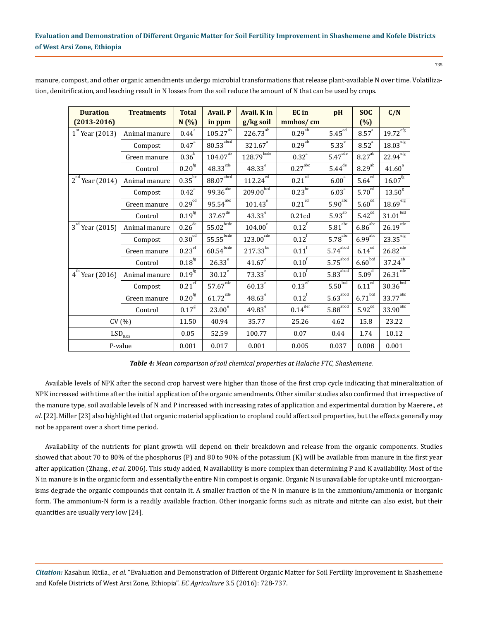| <b>Duration</b>       | <b>Treatments</b> | <b>Total</b>         | <b>Avail. P</b>                                    | Avail. K in                       | <b>EC</b> in           | pH                                                | <b>SOC</b>                  | C/N                                        |
|-----------------------|-------------------|----------------------|----------------------------------------------------|-----------------------------------|------------------------|---------------------------------------------------|-----------------------------|--------------------------------------------|
| $(2013 - 2016)$       |                   | N(%)                 | in ppm                                             | g/kg soil                         | mmhos/cm               |                                                   | (%)                         |                                            |
| $1st$ Year (2013)     | Animal manure     | $0.44^{a}$           | $105.27^{\rm ab}$                                  | $226.73^\mathrm{ab}$              | $0.29^{ab}$            | $5.45^{ed}$                                       | $8.57^{a}$                  | $19.72^{\mathrm{efg}}$                     |
|                       | Compost           | $0.47$ <sup>a</sup>  | $80.53^{\mathrm{a}\mathrm{b}\mathrm{c}\mathrm{d}}$ | $321.67$ <sup>a</sup>             | $0.29^{ab}$            | 5.33 <sup>e</sup>                                 | $8.52$ <sup>a</sup>         | $18.03^{\mathrm{e}\mathrm{\overline{fg}}}$ |
|                       | Green manure      | 0.36 <sup>b</sup>    | $104.07^{\mathrm{ab}}$                             | $128.79^{\overline{\text{bcde}}}$ | $0.32^{a}$             | $5.47^{\rm cde}$                                  | $8.27$ <sup>ab</sup>        | $22.94$ <sup>efg</sup>                     |
|                       | Control           | $0.20^{\rm fg}$      | $48.33^{\text{cde}}$                               | $48.33^{e}$                       | $0.27^{\text{abc}}$    | $5.44^{d\overline{e}}$                            | $8.29^{ab}$                 | $41.60^{a}$                                |
| $2^{nd}$ Year (2014)  | Animal manure     | $0.35$ <sub>bc</sub> | $88.07^{\text{abcd}}$                              | $112.24^{ed}$                     | $0.21^{c\overline{d}}$ | 6.00 <sup>a</sup>                                 | 5.64 <sup>cd</sup>          | $16.07^{\rm fg}$                           |
|                       | Compost           | $0.42^{\circ}$       | $99.36$ <sup>abc</sup>                             | $209.00^{b\bar{c}\bar{d}}$        | $0.23$ <sup>bc</sup>   | 6.03 <sup>a</sup>                                 | $5.70^{\text{cd}}$          | 13.50 <sup>g</sup>                         |
|                       | Green manure      | 0.29 <sup>cd</sup>   | $95.54^{abc}$                                      | $101.43^\circ$                    | $0.21$ <sup>cd</sup>   | $5.90^{\text{abc}}$                               | $5.60^{\rm cd}$             | $18.69$ <sup>efg</sup>                     |
|                       | Control           | $0.19^{\rm fg}$      | $37.67^{\frac{de}{de}}$                            | $43.33^{e}$                       | 0.21cd                 | $5.93^{\rm ab}$                                   | $5.42^{cd}$                 | $31.01^{bcd}$                              |
| $3^{rd}$ Year (2015)  | Animal manure     | $0.26$ <sup>de</sup> | $55.02_{\frac{\text{bcde}}{\text{}}}\$             | $104.00^\mathrm{e}$               | $0.12$ <sup>f</sup>    | $5.81^{\text{abc}}$                               | $6.86\textsuperscript{abc}$ | $26.19^{\overline{cde}}$                   |
|                       | Compost           | 0.30 <sup>cd</sup>   | 55.55                                              | $123.00^{cde}$                    | 0.12 <sup>f</sup>      | $5.78^{\text{abc}}$                               | $6.99$ <sup>abc</sup>       | $23.35^{\mathrm{efg}}$                     |
|                       | Green manure      | $0.23$ <sup>ef</sup> | $60.54^{\text{bcde}}$                              | $217.33^{bc}$                     | $0.11$ <sup>f</sup>    | $5.74$ <sup>abcd</sup>                            | 6.14 <sup>cd</sup>          | $26.82$ <sup>cde</sup>                     |
|                       | Control           | $0.18^{\rm fg}$      | $26.33^e$                                          | $41.67^e$                         | 0.10 <sup>f</sup>      | $5.75^{\overline{\mathrm{abcd}}}$                 | $6.60\sqrt{b^{cd}}$         | $37.24^{\overline{ab}}$                    |
| $4^{th}$ Year (2016)  | Animal manure     | $0.19^{\rm fg}$      | $30.12^e$                                          | $73.33^e$                         | 0.10 <sup>f</sup>      | $5.83^{\mathrm{a}\mathrm{b}\mathrm{c}\mathrm{d}}$ | 5.09 <sup>d</sup>           | $26.31$ <sup>cde</sup>                     |
|                       | Compost           | $0.21^{\mathrm{ef}}$ | $57.67^{cde}$                                      | $60.13^e$                         | $0.13$ <sup>ef</sup>   | $5.50^{\overline{\text{bcd}}}$                    | $6.11^{cd}$                 | $30.36^{bcd}$                              |
|                       | Green manure      | 0.20 <sup>fg</sup>   | $61.72^{\text{cde}}$                               | $48.63^e$                         | $0.12$ <sup>f</sup>    | $5.63$ <sup>abcd</sup>                            | $6.71^{\overline{bcd}}$     | $33.77^{\rm abc}$                          |
|                       | Control           | $0.17^{8}$           | 23.00 <sup>e</sup>                                 | $49.83^e$                         | $0.14$ <sup>def</sup>  | $5.88^{\overline{\text{abcd}}}$                   | $5.92^{\rm cd}$             | $33.90$ <sup>abc</sup>                     |
| CV(%)                 |                   | 11.50                | 40.94                                              | 35.77                             | 25.26                  | 4.62                                              | 15.8                        | 23.22                                      |
| $\mathrm{LSD}_{0.05}$ |                   | 0.05                 | 52.59                                              | 100.77                            | 0.07                   | 0.44                                              | 1.74                        | 10.12                                      |
| P-value               |                   | 0.001                | 0.017                                              | 0.001                             | 0.005                  | 0.037                                             | 0.008                       | 0.001                                      |

manure, compost, and other organic amendments undergo microbial transformations that release plant-available N over time. Volatilization, denitrification, and leaching result in N losses from the soil reduce the amount of N that can be used by crops.

*Table 4: Mean comparison of soil chemical properties at Halache FTC, Shashemene.*

Available levels of NPK after the second crop harvest were higher than those of the first crop cycle indicating that mineralization of NPK increased with time after the initial application of the organic amendments. Other similar studies also confirmed that irrespective of the manure type, soil available levels of N and P increased with increasing rates of application and experimental duration by Maerere., *et al*. [22]. Miller [23] also highlighted that organic material application to cropland could affect soil properties, but the effects generally may not be apparent over a short time period.

Availability of the nutrients for plant growth will depend on their breakdown and release from the organic components. Studies showed that about 70 to 80% of the phosphorus (P) and 80 to 90% of the potassium (K) will be available from manure in the first year after application (Zhang., *et al*. 2006). This study added, N availability is more complex than determining P and K availability. Most of the N in manure is in the organic form and essentially the entire N in compost is organic. Organic N is unavailable for uptake until microorganisms degrade the organic compounds that contain it. A smaller fraction of the N in manure is in the ammonium/ammonia or inorganic form. The ammonium-N form is a readily available fraction. Other inorganic forms such as nitrate and nitrite can also exist, but their quantities are usually very low [24].

*Citation:* Kasahun Kitila., *et al*. "Evaluation and Demonstration of Different Organic Matter for Soil Fertility Improvement in Shashemene and Kofele Districts of West Arsi Zone, Ethiopia". *EC Agriculture* 3.5 (2016): 728-737.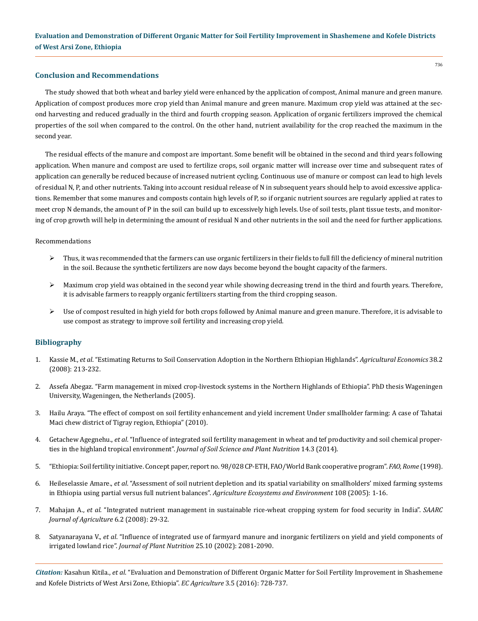### **Conclusion and Recommendations**

The study showed that both wheat and barley yield were enhanced by the application of compost, Animal manure and green manure. Application of compost produces more crop yield than Animal manure and green manure. Maximum crop yield was attained at the second harvesting and reduced gradually in the third and fourth cropping season. Application of organic fertilizers improved the chemical properties of the soil when compared to the control. On the other hand, nutrient availability for the crop reached the maximum in the second year.

The residual effects of the manure and compost are important. Some benefit will be obtained in the second and third years following application. When manure and compost are used to fertilize crops, soil organic matter will increase over time and subsequent rates of application can generally be reduced because of increased nutrient cycling. Continuous use of manure or compost can lead to high levels of residual N, P, and other nutrients. Taking into account residual release of N in subsequent years should help to avoid excessive applications. Remember that some manures and composts contain high levels of P, so if organic nutrient sources are regularly applied at rates to meet crop N demands, the amount of P in the soil can build up to excessively high levels. Use of soil tests, plant tissue tests, and monitoring of crop growth will help in determining the amount of residual N and other nutrients in the soil and the need for further applications.

#### Recommendations

- $\triangleright$  Thus, it was recommended that the farmers can use organic fertilizers in their fields to full fill the deficiency of mineral nutrition in the soil. Because the synthetic fertilizers are now days become beyond the bought capacity of the farmers.
- $\triangleright$  Maximum crop yield was obtained in the second year while showing decreasing trend in the third and fourth years. Therefore, it is advisable farmers to reapply organic fertilizers starting from the third cropping season.
- $\triangleright$  Use of compost resulted in high yield for both crops followed by Animal manure and green manure. Therefore, it is advisable to use compost as strategy to improve soil fertility and increasing crop yield.

### **Bibliography**

- 1. Kassie M., *et al*[. "Estimating Returns to Soil Conservation Adoption in the Northern Ethiopian Highlands".](http://onlinelibrary.wiley.com/doi/10.1111/j.1574-0862.2008.00295.x/abstract) *Agricultural Economics* 38.2 [\(2008\): 213-232.](http://onlinelibrary.wiley.com/doi/10.1111/j.1574-0862.2008.00295.x/abstract)
- 2. Assefa Abegaz. "Farm management in mixed crop-livestock systems in the Northern Highlands of Ethiopia". PhD thesis Wageningen University, Wageningen, the Netherlands (2005).
- 3. [Hailu Araya. "The effect of compost on soil fertility enhancement and yield increment Under smallholder farming: A case of Tahatai](http://agriprofocus.com/upload/Hailu_PDF_with_color_chart1420457303.pdf)  [Maci chew district of Tigray region, Ethiopia" \(2010\).](http://agriprofocus.com/upload/Hailu_PDF_with_color_chart1420457303.pdf)
- 4. Getachew Agegnehu., *et al*[. "Influence of integrated soil fertility management in wheat and tef productivity and soil chemical proper](http://www.scielo.cl/scielo.php?script=sci_arttext&pid=S0718-95162014000300002)ties in the highland tropical environment". *[Journal of Soil Science and Plant Nutrition](http://www.scielo.cl/scielo.php?script=sci_arttext&pid=S0718-95162014000300002)* 14.3 (2014).
- 5. "Ethiopia: Soil fertility initiative. Concept paper, report no. 98/028 CP-ETH, FAO/World Bank cooperative program". *FAO, Rome* (1998).
- 6. Heileselassie Amare., *et al*[. "Assessment of soil nutrient depletion and its spatial variability on smallholders' mixed farming systems](https://www.researchgate.net/file.PostFileLoader.html?id=576aab0ab0366df6b158141a&assetKey=AS%3A375796997869570%401466608394516)  [in Ethiopia using partial versus full nutrient balances".](https://www.researchgate.net/file.PostFileLoader.html?id=576aab0ab0366df6b158141a&assetKey=AS%3A375796997869570%401466608394516) *Agriculture Ecosystems and Environment* 108 (2005): 1-16.
- 7. Mahajan A., *et al*[. "Integrated nutrient management in sustainable rice-wheat cropping system for food security in India".](https://www.researchgate.net/publication/267386083_INTEGRATED_NUTRIENT_MANAGEMENT_IN_SUSTAINABLE_RICE-WHEAT_CROPPING_SYSTEM_FOR_FOOD_SECURITY_IN_INDIA) *SAARC [Journal of Agriculture](https://www.researchgate.net/publication/267386083_INTEGRATED_NUTRIENT_MANAGEMENT_IN_SUSTAINABLE_RICE-WHEAT_CROPPING_SYSTEM_FOR_FOOD_SECURITY_IN_INDIA)* 6.2 (2008): 29-32.
- 8. Satyanarayana V., *et al*[. "Influence of integrated use of farmyard manure and inorganic fertilizers on yield and yield components of](http://www.tandfonline.com/doi/abs/10.1081/PLN-120014062)  irrigated lowland rice". *[Journal of Plant Nutrition](http://www.tandfonline.com/doi/abs/10.1081/PLN-120014062)* 25.10 (2002): 2081-2090.

*Citation:* Kasahun Kitila., *et al*. "Evaluation and Demonstration of Different Organic Matter for Soil Fertility Improvement in Shashemene and Kofele Districts of West Arsi Zone, Ethiopia". *EC Agriculture* 3.5 (2016): 728-737.